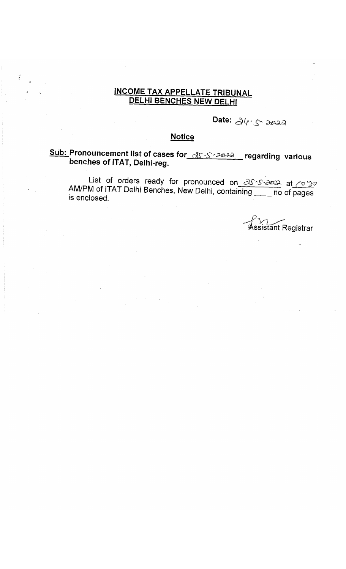## INCOME TAX APPELLATE TRIBUNAL DELHI BENCHES NEW DELHI

Date:  $\partial\varphi\cdot\zeta$  and

### **Notice**

# Sub: Pronouncement list of cases for  $\alpha$ s regarding various benches of ITAT, Delhi-reg.

List of orders ready for pronounced on  $\partial \mathcal{S} \rightarrow \partial \mathcal{S}$  at  $\partial \mathcal{S}$ AM/PM of ITAT Delhi Benches, New Delhi, containing no of pages is enclosed.

 $^{\circ}$ Yayant Registrar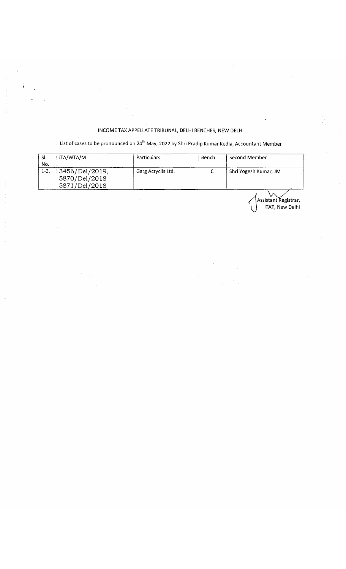### INCOME TAX APPELLATE TRIBUNAL, DELHI BENCHES, NEW DELHI

 $\tilde{\tilde{t}}$ 

#### List of cases to be pronounced on 24<sup>th</sup> May, 2022 by Shri Pradip Kumar Kedia, Accountant Member

| SI.    | ITA/WTA/M      | Particulars        | Bench | Second Member         |
|--------|----------------|--------------------|-------|-----------------------|
| No.    |                |                    |       |                       |
| $1-3.$ | 3456/Del/2019, | Garg Acryclis Ltd. |       | Shri Yogesh Kumar, JM |
|        | 5870/Del/2018  |                    |       |                       |
|        | 5871/Del/2018  |                    |       |                       |

Assistant Registrar, ITAT, New Delhi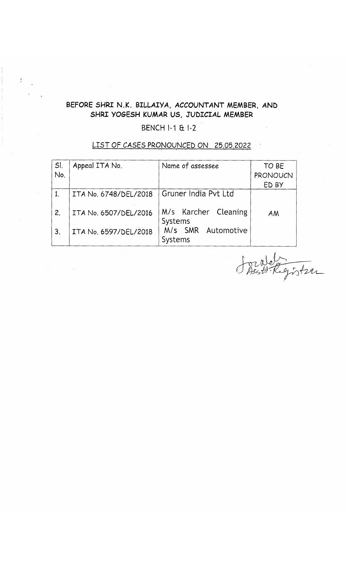# BEFORE SHRI N.K. *BILLATVA,* ACCOUNTANT MEMBER, AND SHRI YOGESH KUMAR US, JUDICIAL MEMBER

### BENCH I-1 & I-2

LIST OF CASES PRONOUNCED ON 25.05.2022

| SI.<br>No.   | Appeal ITA No.        | Name of assessee                | TO BE<br>PRONOUCN<br>ED BY |
|--------------|-----------------------|---------------------------------|----------------------------|
|              | ITA No. 6748/DEL/2018 | Gruner India Pvt Ltd            |                            |
| 2.           | ITA No. 6507/DEL/2016 | M/s Karcher Cleaning<br>Systems | AM                         |
| $\mathbf{3}$ | ITA No. 6597/DEL/2018 | M/s SMR Automotive<br>Systems   |                            |

 $\int_{\mathcal{A}}^{0}$ Wer Tegister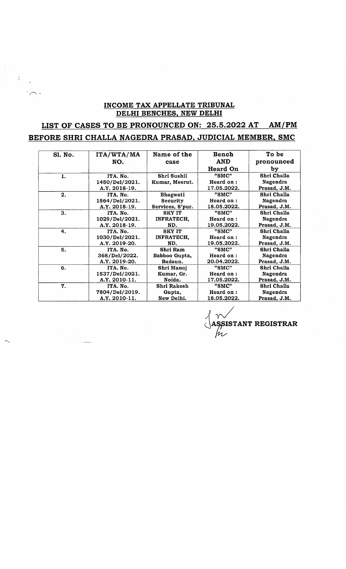#### **INCOME TAX APPELLATE TRIBUNAL DELHI BENCHES, NEW DELHI**

# LIST OF CASES TO BE PRONOUNCED ON: 25.5.2022 AT AM/PM **BEFORE SHRI CHALLA NAGEDRA PRASAD, JUDICIAL MEMBER, SMC**

| Sl. No. | ITA/WTA/MA     | Name of the       | <b>Bench</b>    | To be        |
|---------|----------------|-------------------|-----------------|--------------|
|         | NO.            | case              | <b>AND</b>      | pronounced   |
|         |                |                   | <b>Heard On</b> | by           |
| 1.      | ITA. No.       | Shri Sushil       | "SMC"           | Shri Challa  |
|         | 1450/Del/2021. | Kumar, Meerut.    | Heard on:       | Nagendra     |
|         | A.Y. 2018-19.  |                   | 17.05.2022.     | Prasad, J.M. |
| 2.      | ITA. No.       | <b>Bhagwati</b>   | "SMC"           | Shri Challa  |
|         | 1564/Del/2021. | Security          | Heard on:       | Nagendra     |
|         | A.Y. 2018-19.  | Services, S'pur.  | 18.05.2022.     | Prasad, J.M. |
| 3.      | ITA. No.       | <b>SKY IT</b>     | "SMC"           | Shri Challa  |
|         | 1029/Del/2021. | <b>INFRATECH.</b> | Heard on:       | Nagendra     |
|         | A.Y. 2018-19.  | ND.               | 19.05.2022.     | Prasad, J.M. |
| 4.      | ITA. No.       | <b>SKY IT</b>     | "SMC"           | Shri Challa  |
|         | 1030/Del/2021. | <b>INFRATECH,</b> | Heard on:       | Nagendra     |
|         | A.Y. 2019-20.  | ND.               | 19.05.2022.     | Prasad, J.M. |
| 5.      | ITA. No.       | Shri Ram          | "SMC"           | Shri Challa  |
|         | 368/Del/2022.  | Babboo Gupta,     | Heard on:       | Nagendra     |
|         | A.Y. 2019-20.  | Badaun.           | 20.04.2022.     | Prasad, J.M. |
| 6.      | ITA. No.       | Shri Manoj        | "SMC"           | Shri Challa  |
|         | 1537/Del/2021. | Kumar, Gr.        | Heard on:       | Nagendra     |
|         | A.Y. 2010-11.  | Noida.            | 17.05.2022.     | Prasad, J.M. |
| 7.      | ITA. No.       | Shri Rakesh       | "SMC"           | Shri Challa  |
|         | 7804/Del/2019. | Gupta,            | Heard on:       | Nagendra     |
|         | A.Y. 2010-11.  | New Delhi.        | 18.05.2022.     | Prasad, J.M. |

**SSISTANT REGISTRAR** fr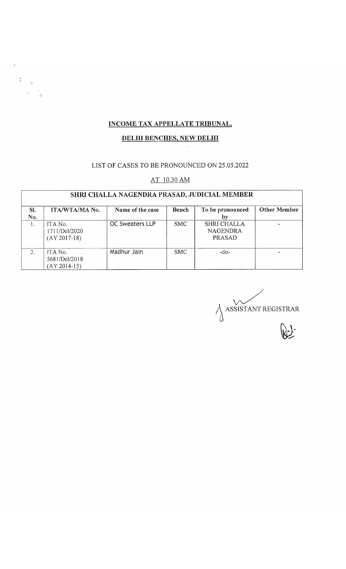## **INCOME TAX APPELLATE TRIBUNAL.**

#### **DELHI BENCHES, NEW DELHI**

### LIST OF CASES TO BE PRONOUNCED ON 25.05.2022

#### AT 10.30 AM

# **SHRI CHALLA NAGENDRA PRASAD, JUDICIAL MEMBER**

| SI.<br>No. | ITA/WTA/MA No.                             | Name of the case       | Bench      | To be pronounced<br>bv                   | <b>Other Member</b> |
|------------|--------------------------------------------|------------------------|------------|------------------------------------------|---------------------|
|            | ITA No.<br>1711/Del/2020<br>$(AY 2017-18)$ | <b>OC Sweaters LLP</b> | <b>SMC</b> | SHRI CHALLA<br><b>NAGENDRA</b><br>PRASAD |                     |
|            | ITA No.<br>5681/Del/2018<br>$(AY 2014-15)$ | Madhur Jain            | <b>SMC</b> | -do-                                     |                     |

ASSISTANT REGISTRAR  $\mathbb{R}$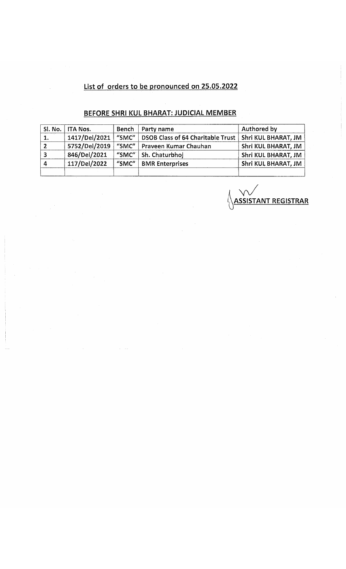# **List of orders to be pronounced on 25.05.2022**

# **BEFORE SHRI KUL BHARAT: JUDICIAL MEMBER**

| SI. No. | <b>ITA Nos.</b> | Bench | Party name                               | <b>Authored by</b>  |
|---------|-----------------|-------|------------------------------------------|---------------------|
| 1.      | 1417/Del/2021   | "SMC" | <b>DSOB Class of 64 Charitable Trust</b> | Shri KUL BHARAT, JM |
|         | 5752/Del/2019   | "SMC" | Praveen Kumar Chauhan                    | Shri KUL BHARAT, JM |
|         | 846/Del/2021    | "SMC" | Sh. Chaturbhoj                           | Shri KUL BHARAT, JM |
| 4       | 117/Del/2022    | "SMC" | <b>BMR</b> Enterprises                   | Shri KUL BHARAT, JM |
|         |                 |       |                                          |                     |

<u>k</u> Y **l\ASSISTANT REGISTRAR**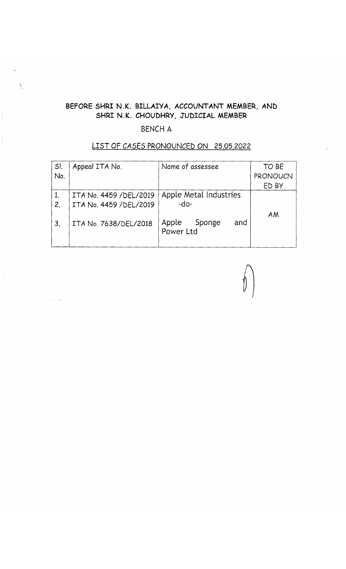# BEFORE SHRI N.K. BILLAIYA, ACCOUNTANT MEMBER, AND SHRI N.K. CHOUDHRY, JUDICIAL MEMBER

### BENCH A

 $\frac{\partial \phi}{\partial x_{\alpha}}$ 

| SI. | Appeal ITA No.          | Name of assessee       | TO BE    |
|-----|-------------------------|------------------------|----------|
| No. |                         |                        | PRONOUCN |
|     |                         |                        | ED BY    |
|     | ITA No. 4459 / DEL/2019 | Apple Metal Industries |          |
| 2.  | ITA No. 4459 / DEL/2019 | $-do-$                 |          |
|     |                         |                        | AM       |
| 3.  | ITA No. 7638/DEL/2018   | Apple<br>Sponge<br>and |          |
|     |                         | Power Ltd              |          |
|     |                         |                        |          |

# L IS T OF *CASES* PRONOUNCED ON *25.05.2022*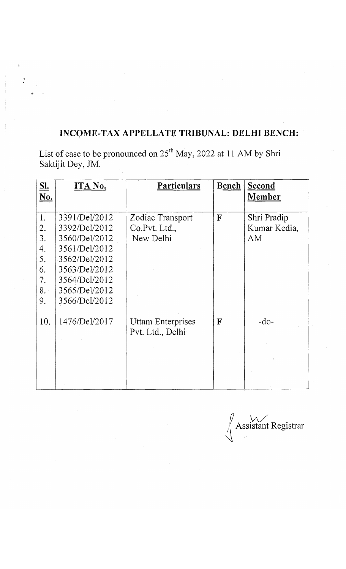# **INCOME-TAX APPELLATE TRIBUNAL: DELHI BENCH:**

List of case to be pronounced on 25<sup>th</sup> May, 2022 at 11 AM by Shri Saktijit Dey, JM.

 $\tilde{L}$ 

| S <sub>L</sub><br>No. | ITA No.       | Particulars       | Bench        | Second<br>Member |
|-----------------------|---------------|-------------------|--------------|------------------|
|                       |               |                   |              |                  |
| 1.                    | 3391/Del/2012 | Zodiac Transport  | $\mathbf{F}$ | Shri Pradip      |
| 2.                    | 3392/Del/2012 | Co.Pvt. Ltd.,     |              | Kumar Kedia,     |
| 3.                    | 3560/Del/2012 | New Delhi         |              | AM               |
| 4.                    | 3561/Del/2012 |                   |              |                  |
| 5.                    | 3562/Del/2012 |                   |              |                  |
| 6.                    | 3563/Del/2012 |                   |              |                  |
| 7.                    | 3564/Del/2012 |                   |              |                  |
| 8.                    | 3565/Del/2012 |                   |              |                  |
| 9.                    | 3566/Del/2012 |                   |              |                  |
|                       |               |                   |              |                  |
| 10.                   | 1476/Del/2017 | Uttam Enterprises | $\mathbf{F}$ | $-do-$           |
|                       |               | Pvt. Ltd., Delhi  |              |                  |
|                       |               |                   |              |                  |
|                       |               |                   |              |                  |
|                       |               |                   |              |                  |
|                       |               |                   |              |                  |
|                       |               |                   |              |                  |

*u W /* / Assistant Registrar